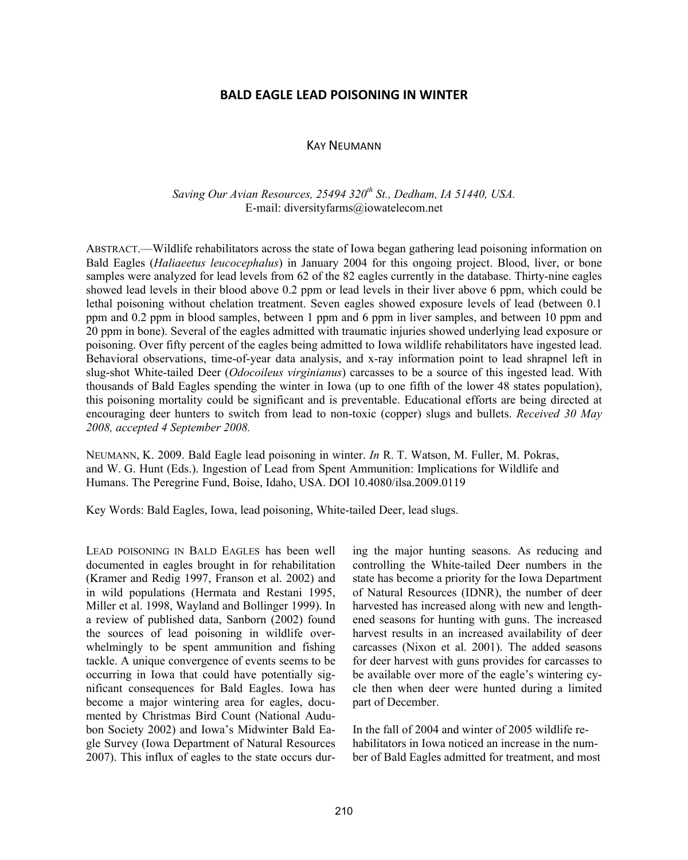# **BALD
EAGLE
LEAD
POISONING
IN
WINTER**

## KAY NEUMANN

# Saving Our Avian Resources, 25494 320<sup>th</sup> St., Dedham, IA 51440, USA. E-mail: [diversityfarms@iowatelecom.net](mailto:diversityfarms@iowatelecom.net)

ABSTRACT.—Wildlife rehabilitators across the state of Iowa began gathering lead poisoning information on Bald Eagles (*Haliaeetus leucocephalus*) in January 2004 for this ongoing project. Blood, liver, or bone samples were analyzed for lead levels from 62 of the 82 eagles currently in the database. Thirty-nine eagles showed lead levels in their blood above 0.2 ppm or lead levels in their liver above 6 ppm, which could be lethal poisoning without chelation treatment. Seven eagles showed exposure levels of lead (between 0.1 ppm and 0.2 ppm in blood samples, between 1 ppm and 6 ppm in liver samples, and between 10 ppm and 20 ppm in bone). Several of the eagles admitted with traumatic injuries showed underlying lead exposure or poisoning. Over fifty percent of the eagles being admitted to Iowa wildlife rehabilitators have ingested lead. Behavioral observations, time-of-year data analysis, and x-ray information point to lead shrapnel left in slug-shot White-tailed Deer (*Odocoileus virginianus*) carcasses to be a source of this ingested lead. With thousands of Bald Eagles spending the winter in Iowa (up to one fifth of the lower 48 states population), this poisoning mortality could be significant and is preventable. Educational efforts are being directed at encouraging deer hunters to switch from lead to non-toxic (copper) slugs and bullets. *Received 30 May 2008, accepted 4 September 2008.*

NEUMANN, K. 2009. Bald Eagle lead poisoning in winter. *In* R. T. Watson, M. Fuller, M. Pokras, and W. G. Hunt (Eds.). Ingestion of Lead from Spent Ammunition: Implications for Wildlife and Humans. The Peregrine Fund, Boise, Idaho, USA. DOI 10.4080/ilsa.2009.0119

Key Words: Bald Eagles, Iowa, lead poisoning, White-tailed Deer, lead slugs.

LEAD POISONING IN BALD EAGLES has been well documented in eagles brought in for rehabilitation (Kramer and Redig 1997, Franson et al. 2002) and in wild populations (Hermata and Restani 1995, Miller et al. 1998, Wayland and Bollinger 1999). In a review of published data, Sanborn (2002) found the sources of lead poisoning in wildlife overwhelmingly to be spent ammunition and fishing tackle. A unique convergence of events seems to be occurring in Iowa that could have potentially significant consequences for Bald Eagles. Iowa has become a major wintering area for eagles, documented by Christmas Bird Count (National Audubon Society 2002) and Iowa's Midwinter Bald Eagle Survey (Iowa Department of Natural Resources 2007). This influx of eagles to the state occurs during the major hunting seasons. As reducing and controlling the White-tailed Deer numbers in the state has become a priority for the Iowa Department of Natural Resources (IDNR), the number of deer harvested has increased along with new and lengthened seasons for hunting with guns. The increased harvest results in an increased availability of deer carcasses (Nixon et al. 2001). The added seasons for deer harvest with guns provides for carcasses to be available over more of the eagle's wintering cycle then when deer were hunted during a limited part of December.

In the fall of 2004 and winter of 2005 wildlife rehabilitators in Iowa noticed an increase in the number of Bald Eagles admitted for treatment, and most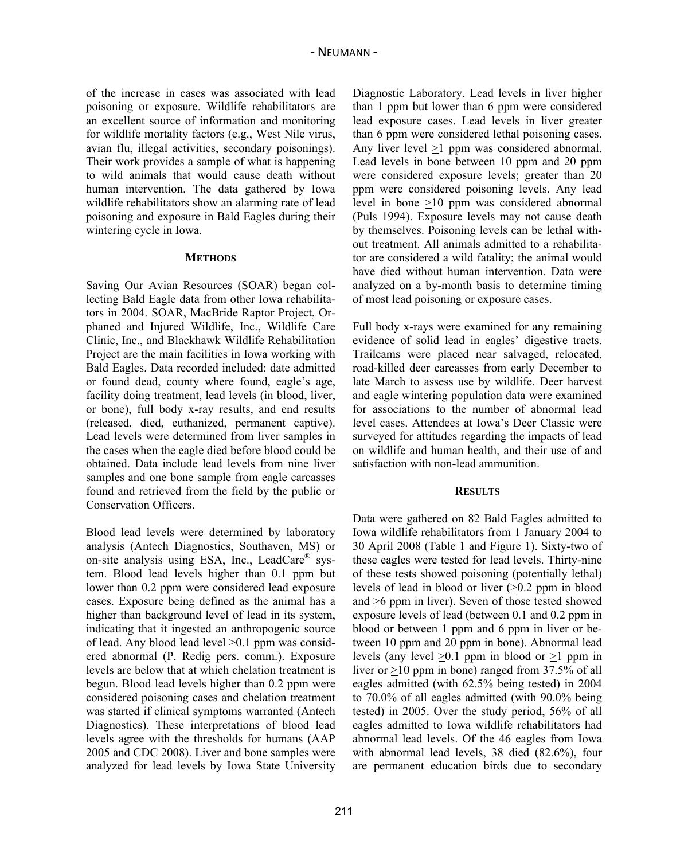of the increase in cases was associated with lead poisoning or exposure. Wildlife rehabilitators are an excellent source of information and monitoring for wildlife mortality factors (e.g., West Nile virus, avian flu, illegal activities, secondary poisonings). Their work provides a sample of what is happening to wild animals that would cause death without human intervention. The data gathered by Iowa wildlife rehabilitators show an alarming rate of lead poisoning and exposure in Bald Eagles during their wintering cycle in Iowa.

#### **METHODS**

Saving Our Avian Resources (SOAR) began collecting Bald Eagle data from other Iowa rehabilitators in 2004. SOAR, MacBride Raptor Project, Orphaned and Injured Wildlife, Inc., Wildlife Care Clinic, Inc., and Blackhawk Wildlife Rehabilitation Project are the main facilities in Iowa working with Bald Eagles. Data recorded included: date admitted or found dead, county where found, eagle's age, facility doing treatment, lead levels (in blood, liver, or bone), full body x-ray results, and end results (released, died, euthanized, permanent captive). Lead levels were determined from liver samples in the cases when the eagle died before blood could be obtained. Data include lead levels from nine liver samples and one bone sample from eagle carcasses found and retrieved from the field by the public or Conservation Officers.

Blood lead levels were determined by laboratory analysis (Antech Diagnostics, Southaven, MS) or on-site analysis using ESA, Inc., LeadCare® system. Blood lead levels higher than 0.1 ppm but lower than 0.2 ppm were considered lead exposure cases. Exposure being defined as the animal has a higher than background level of lead in its system, indicating that it ingested an anthropogenic source of lead. Any blood lead level >0.1 ppm was considered abnormal (P. Redig pers. comm.). Exposure levels are below that at which chelation treatment is begun. Blood lead levels higher than 0.2 ppm were considered poisoning cases and chelation treatment was started if clinical symptoms warranted (Antech Diagnostics). These interpretations of blood lead levels agree with the thresholds for humans (AAP 2005 and CDC 2008). Liver and bone samples were analyzed for lead levels by Iowa State University Diagnostic Laboratory. Lead levels in liver higher than 1 ppm but lower than 6 ppm were considered lead exposure cases. Lead levels in liver greater than 6 ppm were considered lethal poisoning cases. Any liver level  $\geq 1$  ppm was considered abnormal. Lead levels in bone between 10 ppm and 20 ppm were considered exposure levels; greater than 20 ppm were considered poisoning levels. Any lead level in bone >10 ppm was considered abnormal (Puls 1994). Exposure levels may not cause death by themselves. Poisoning levels can be lethal without treatment. All animals admitted to a rehabilitator are considered a wild fatality; the animal would have died without human intervention. Data were analyzed on a by-month basis to determine timing of most lead poisoning or exposure cases.

Full body x-rays were examined for any remaining evidence of solid lead in eagles' digestive tracts. Trailcams were placed near salvaged, relocated, road-killed deer carcasses from early December to late March to assess use by wildlife. Deer harvest and eagle wintering population data were examined for associations to the number of abnormal lead level cases. Attendees at Iowa's Deer Classic were surveyed for attitudes regarding the impacts of lead on wildlife and human health, and their use of and satisfaction with non-lead ammunition.

### **RESULTS**

Data were gathered on 82 Bald Eagles admitted to Iowa wildlife rehabilitators from 1 January 2004 to 30 April 2008 (Table 1 and Figure 1). Sixty-two of these eagles were tested for lead levels. Thirty-nine of these tests showed poisoning (potentially lethal) levels of lead in blood or liver (>0.2 ppm in blood and >6 ppm in liver). Seven of those tested showed exposure levels of lead (between 0.1 and 0.2 ppm in blood or between 1 ppm and 6 ppm in liver or between 10 ppm and 20 ppm in bone). Abnormal lead levels (any level >0.1 ppm in blood or >1 ppm in liver or >10 ppm in bone) ranged from 37.5% of all eagles admitted (with 62.5% being tested) in 2004 to 70.0% of all eagles admitted (with 90.0% being tested) in 2005. Over the study period, 56% of all eagles admitted to Iowa wildlife rehabilitators had abnormal lead levels. Of the 46 eagles from Iowa with abnormal lead levels, 38 died (82.6%), four are permanent education birds due to secondary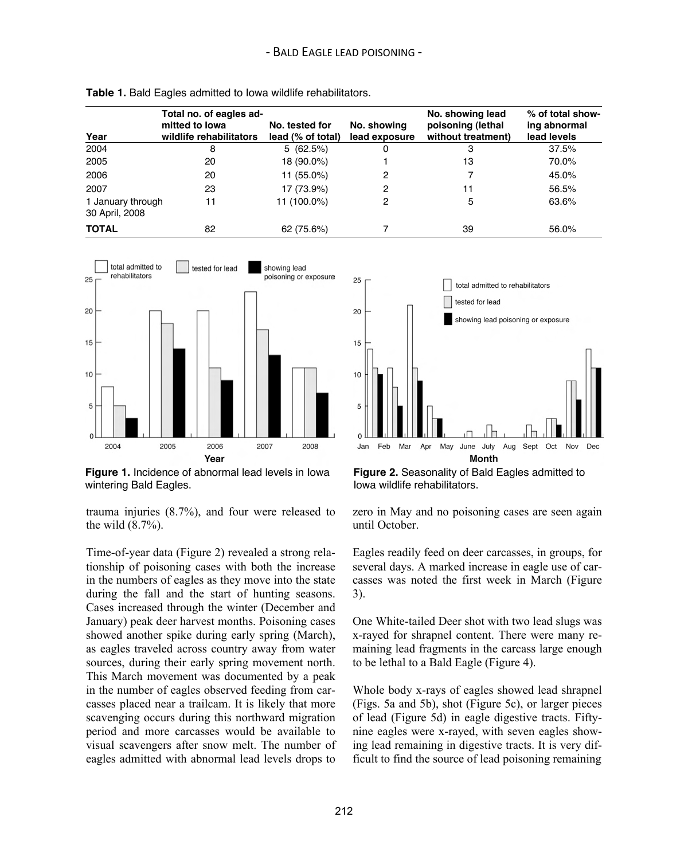|                                     | Total no. of eagles ad- |                   |               | No. showing lead   | % of total show- |
|-------------------------------------|-------------------------|-------------------|---------------|--------------------|------------------|
|                                     | mitted to lowa          | No. tested for    | No. showing   | poisoning (lethal  | ing abnormal     |
| Year                                | wildlife rehabilitators | lead (% of total) | lead exposure | without treatment) | lead levels      |
| 2004                                | 8                       | 5(62.5%)          | 0             | 3                  | 37.5%            |
| 2005                                | 20                      | 18 (90.0%)        |               | 13                 | 70.0%            |
| 2006                                | 20                      | 11 (55.0%)        | 2             |                    | 45.0%            |
| 2007                                | 23                      | 17 (73.9%)        | 2             | 11                 | 56.5%            |
| 1 January through<br>30 April, 2008 | 11                      | 11 (100.0%)       | 2             | 5                  | 63.6%            |
| <b>TOTAL</b>                        | 82                      | 62 (75.6%)        |               | 39                 | 56.0%            |

**Table 1.** Bald Eagles admitted to Iowa wildlife rehabilitators.



**Figure 1.** Incidence of abnormal lead levels in Iowa wintering Bald Eagles.

trauma injuries (8.7%), and four were released to the wild (8.7%).

Time-of-year data (Figure 2) revealed a strong relationship of poisoning cases with both the increase in the numbers of eagles as they move into the state during the fall and the start of hunting seasons. Cases increased through the winter (December and January) peak deer harvest months. Poisoning cases showed another spike during early spring (March), as eagles traveled across country away from water sources, during their early spring movement north. This March movement was documented by a peak in the number of eagles observed feeding from carcasses placed near a trailcam. It is likely that more scavenging occurs during this northward migration period and more carcasses would be available to visual scavengers after snow melt. The number of eagles admitted with abnormal lead levels drops to



**Figure 2.** Seasonality of Bald Eagles admitted to Iowa wildlife rehabilitators.

zero in May and no poisoning cases are seen again until October.

Eagles readily feed on deer carcasses, in groups, for several days. A marked increase in eagle use of carcasses was noted the first week in March (Figure 3).

One White-tailed Deer shot with two lead slugs was x-rayed for shrapnel content. There were many remaining lead fragments in the carcass large enough to be lethal to a Bald Eagle (Figure 4).

Whole body x-rays of eagles showed lead shrapnel (Figs. 5a and 5b), shot (Figure 5c), or larger pieces of lead (Figure 5d) in eagle digestive tracts. Fiftynine eagles were x-rayed, with seven eagles showing lead remaining in digestive tracts. It is very difficult to find the source of lead poisoning remaining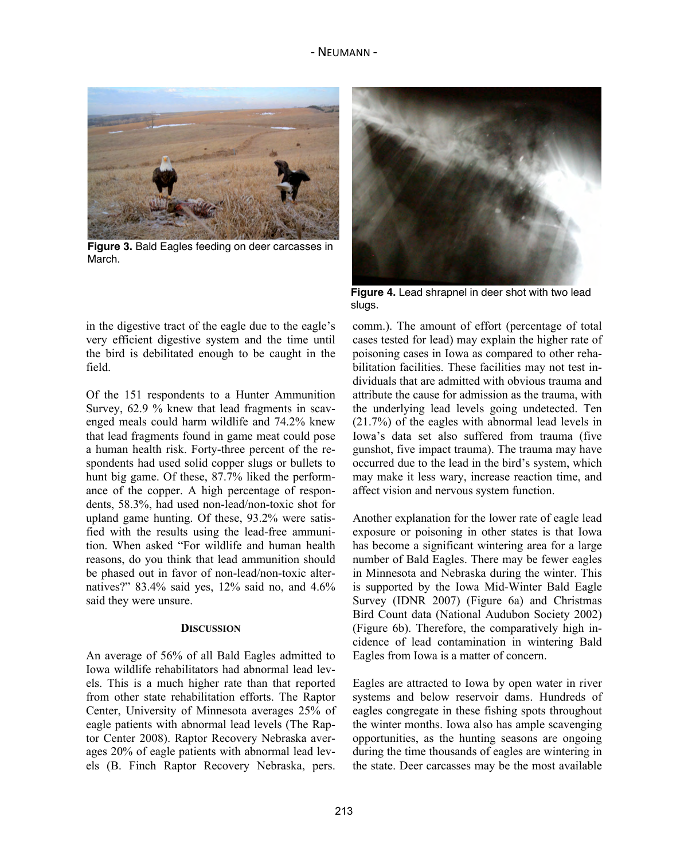## ‐ NEUMANN ‐



**Figure 3.** Bald Eagles feeding on deer carcasses in March.



**Figure 4.** Lead shrapnel in deer shot with two lead slugs.

in the digestive tract of the eagle due to the eagle's very efficient digestive system and the time until the bird is debilitated enough to be caught in the field.

Of the 151 respondents to a Hunter Ammunition Survey, 62.9 % knew that lead fragments in scavenged meals could harm wildlife and 74.2% knew that lead fragments found in game meat could pose a human health risk. Forty-three percent of the respondents had used solid copper slugs or bullets to hunt big game. Of these, 87.7% liked the performance of the copper. A high percentage of respondents, 58.3%, had used non-lead/non-toxic shot for upland game hunting. Of these, 93.2% were satisfied with the results using the lead-free ammunition. When asked "For wildlife and human health reasons, do you think that lead ammunition should be phased out in favor of non-lead/non-toxic alternatives?" 83.4% said yes, 12% said no, and 4.6% said they were unsure.

#### **DISCUSSION**

An average of 56% of all Bald Eagles admitted to Iowa wildlife rehabilitators had abnormal lead levels. This is a much higher rate than that reported from other state rehabilitation efforts. The Raptor Center, University of Minnesota averages 25% of eagle patients with abnormal lead levels (The Raptor Center 2008). Raptor Recovery Nebraska averages 20% of eagle patients with abnormal lead levels (B. Finch Raptor Recovery Nebraska, pers.

comm.). The amount of effort (percentage of total cases tested for lead) may explain the higher rate of poisoning cases in Iowa as compared to other rehabilitation facilities. These facilities may not test individuals that are admitted with obvious trauma and attribute the cause for admission as the trauma, with the underlying lead levels going undetected. Ten (21.7%) of the eagles with abnormal lead levels in Iowa's data set also suffered from trauma (five gunshot, five impact trauma). The trauma may have occurred due to the lead in the bird's system, which may make it less wary, increase reaction time, and affect vision and nervous system function.

Another explanation for the lower rate of eagle lead exposure or poisoning in other states is that Iowa has become a significant wintering area for a large number of Bald Eagles. There may be fewer eagles in Minnesota and Nebraska during the winter. This is supported by the Iowa Mid-Winter Bald Eagle Survey (IDNR 2007) (Figure 6a) and Christmas Bird Count data (National Audubon Society 2002) (Figure 6b). Therefore, the comparatively high incidence of lead contamination in wintering Bald Eagles from Iowa is a matter of concern.

Eagles are attracted to Iowa by open water in river systems and below reservoir dams. Hundreds of eagles congregate in these fishing spots throughout the winter months. Iowa also has ample scavenging opportunities, as the hunting seasons are ongoing during the time thousands of eagles are wintering in the state. Deer carcasses may be the most available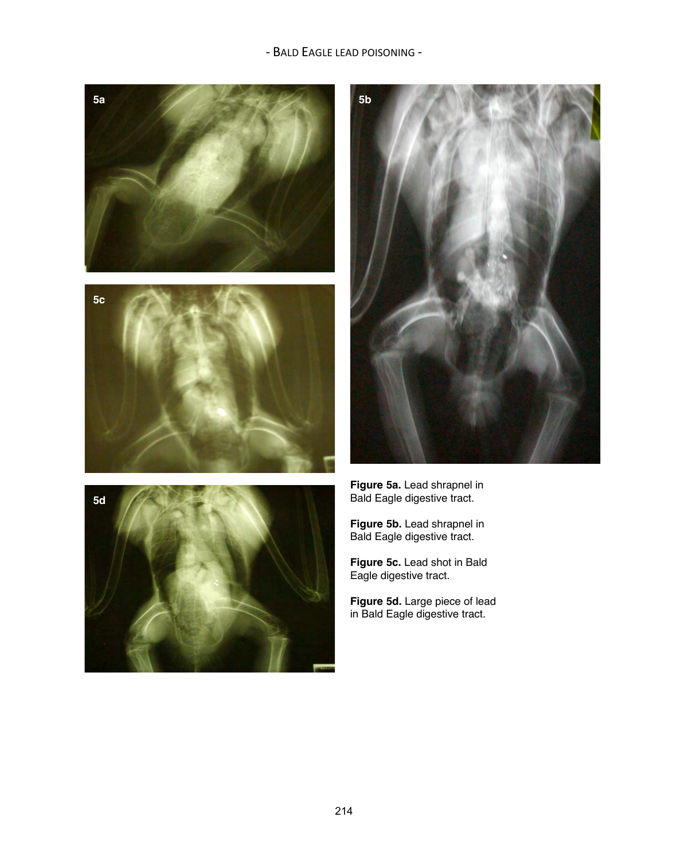# ‐ BALD EAGLE LEAD POISONING ‐





**Figure 5a.** Lead shrapnel in Bald Eagle digestive tract.

**Figure 5b.** Lead shrapnel in Bald Eagle digestive tract.

**Figure 5c.** Lead shot in Bald Eagle digestive tract.

**Figure 5d.** Large piece of lead in Bald Eagle digestive tract.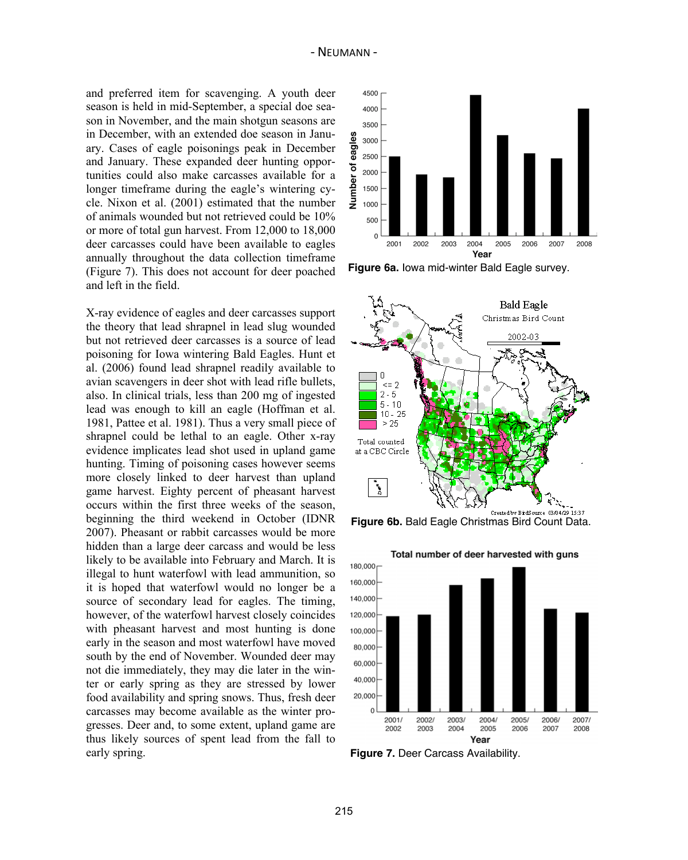and preferred item for scavenging. A youth deer season is held in mid-September, a special doe season in November, and the main shotgun seasons are in December, with an extended doe season in January. Cases of eagle poisonings peak in December and January. These expanded deer hunting opportunities could also make carcasses available for a longer timeframe during the eagle's wintering cycle. Nixon et al. (2001) estimated that the number of animals wounded but not retrieved could be 10% or more of total gun harvest. From 12,000 to 18,000 deer carcasses could have been available to eagles annually throughout the data collection timeframe (Figure 7). This does not account for deer poached and left in the field.

X-ray evidence of eagles and deer carcasses support the theory that lead shrapnel in lead slug wounded but not retrieved deer carcasses is a source of lead poisoning for Iowa wintering Bald Eagles. Hunt et al. (2006) found lead shrapnel readily available to avian scavengers in deer shot with lead rifle bullets, also. In clinical trials, less than 200 mg of ingested lead was enough to kill an eagle (Hoffman et al. 1981, Pattee et al. 1981). Thus a very small piece of shrapnel could be lethal to an eagle. Other x-ray evidence implicates lead shot used in upland game hunting. Timing of poisoning cases however seems more closely linked to deer harvest than upland game harvest. Eighty percent of pheasant harvest occurs within the first three weeks of the season, beginning the third weekend in October (IDNR 2007). Pheasant or rabbit carcasses would be more hidden than a large deer carcass and would be less likely to be available into February and March. It is illegal to hunt waterfowl with lead ammunition, so it is hoped that waterfowl would no longer be a source of secondary lead for eagles. The timing, however, of the waterfowl harvest closely coincides with pheasant harvest and most hunting is done early in the season and most waterfowl have moved south by the end of November. Wounded deer may not die immediately, they may die later in the winter or early spring as they are stressed by lower food availability and spring snows. Thus, fresh deer carcasses may become available as the winter progresses. Deer and, to some extent, upland game are thus likely sources of spent lead from the fall to early spring.



**Figure 6a.** Iowa mid-winter Bald Eagle survey.



**Figure 6b.** Bald Eagle Christmas Bird Count Data.



**Figure 7.** Deer Carcass Availability.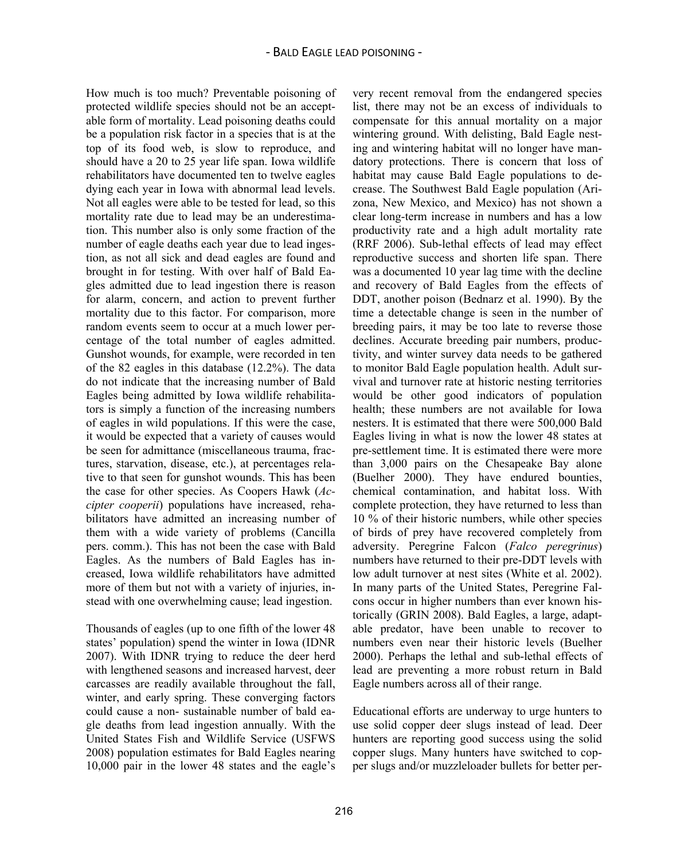How much is too much? Preventable poisoning of protected wildlife species should not be an acceptable form of mortality. Lead poisoning deaths could be a population risk factor in a species that is at the top of its food web, is slow to reproduce, and should have a 20 to 25 year life span. Iowa wildlife rehabilitators have documented ten to twelve eagles dying each year in Iowa with abnormal lead levels. Not all eagles were able to be tested for lead, so this mortality rate due to lead may be an underestimation. This number also is only some fraction of the number of eagle deaths each year due to lead ingestion, as not all sick and dead eagles are found and brought in for testing. With over half of Bald Eagles admitted due to lead ingestion there is reason for alarm, concern, and action to prevent further mortality due to this factor. For comparison, more random events seem to occur at a much lower percentage of the total number of eagles admitted. Gunshot wounds, for example, were recorded in ten of the 82 eagles in this database (12.2%). The data do not indicate that the increasing number of Bald Eagles being admitted by Iowa wildlife rehabilitators is simply a function of the increasing numbers of eagles in wild populations. If this were the case, it would be expected that a variety of causes would be seen for admittance (miscellaneous trauma, fractures, starvation, disease, etc.), at percentages relative to that seen for gunshot wounds. This has been the case for other species. As Coopers Hawk (*Accipter cooperii*) populations have increased, rehabilitators have admitted an increasing number of them with a wide variety of problems (Cancilla pers. comm.). This has not been the case with Bald Eagles. As the numbers of Bald Eagles has increased, Iowa wildlife rehabilitators have admitted more of them but not with a variety of injuries, instead with one overwhelming cause; lead ingestion.

Thousands of eagles (up to one fifth of the lower 48 states' population) spend the winter in Iowa (IDNR 2007). With IDNR trying to reduce the deer herd with lengthened seasons and increased harvest, deer carcasses are readily available throughout the fall, winter, and early spring. These converging factors could cause a non- sustainable number of bald eagle deaths from lead ingestion annually. With the United States Fish and Wildlife Service (USFWS 2008) population estimates for Bald Eagles nearing 10,000 pair in the lower 48 states and the eagle's very recent removal from the endangered species list, there may not be an excess of individuals to compensate for this annual mortality on a major wintering ground. With delisting, Bald Eagle nesting and wintering habitat will no longer have mandatory protections. There is concern that loss of habitat may cause Bald Eagle populations to decrease. The Southwest Bald Eagle population (Arizona, New Mexico, and Mexico) has not shown a clear long-term increase in numbers and has a low productivity rate and a high adult mortality rate (RRF 2006). Sub-lethal effects of lead may effect reproductive success and shorten life span. There was a documented 10 year lag time with the decline and recovery of Bald Eagles from the effects of DDT, another poison (Bednarz et al. 1990). By the time a detectable change is seen in the number of breeding pairs, it may be too late to reverse those declines. Accurate breeding pair numbers, productivity, and winter survey data needs to be gathered to monitor Bald Eagle population health. Adult survival and turnover rate at historic nesting territories would be other good indicators of population health; these numbers are not available for Iowa nesters. It is estimated that there were 500,000 Bald Eagles living in what is now the lower 48 states at pre-settlement time. It is estimated there were more than 3,000 pairs on the Chesapeake Bay alone (Buelher 2000). They have endured bounties, chemical contamination, and habitat loss. With complete protection, they have returned to less than 10 % of their historic numbers, while other species of birds of prey have recovered completely from adversity. Peregrine Falcon (*Falco peregrinus*) numbers have returned to their pre-DDT levels with low adult turnover at nest sites (White et al. 2002). In many parts of the United States, Peregrine Falcons occur in higher numbers than ever known historically (GRIN 2008). Bald Eagles, a large, adaptable predator, have been unable to recover to numbers even near their historic levels (Buelher 2000). Perhaps the lethal and sub-lethal effects of lead are preventing a more robust return in Bald Eagle numbers across all of their range.

Educational efforts are underway to urge hunters to use solid copper deer slugs instead of lead. Deer hunters are reporting good success using the solid copper slugs. Many hunters have switched to copper slugs and/or muzzleloader bullets for better per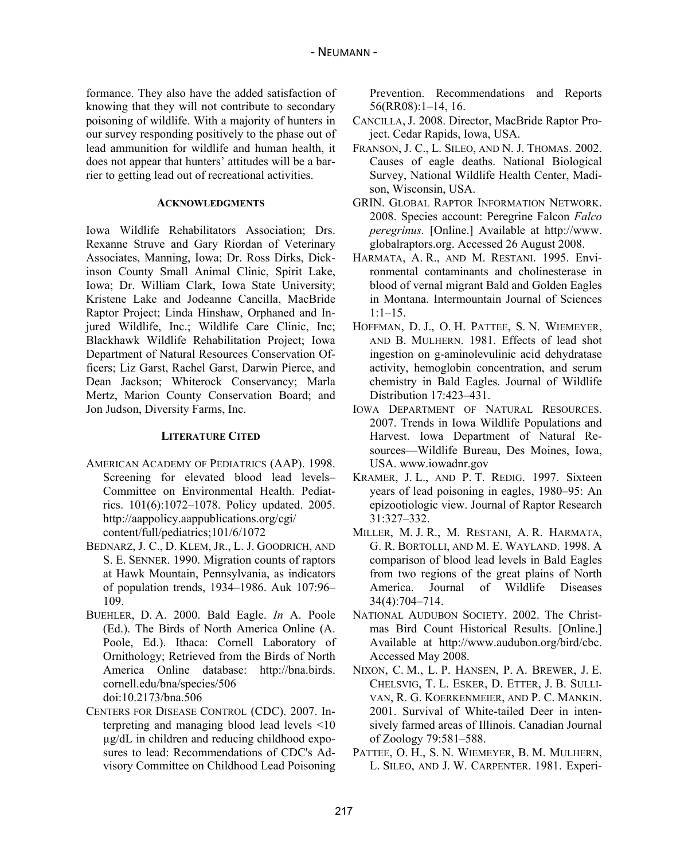formance. They also have the added satisfaction of knowing that they will not contribute to secondary poisoning of wildlife. With a majority of hunters in our survey responding positively to the phase out of lead ammunition for wildlife and human health, it does not appear that hunters' attitudes will be a barrier to getting lead out of recreational activities.

### **ACKNOWLEDGMENTS**

Iowa Wildlife Rehabilitators Association; Drs. Rexanne Struve and Gary Riordan of Veterinary Associates, Manning, Iowa; Dr. Ross Dirks, Dickinson County Small Animal Clinic, Spirit Lake, Iowa; Dr. William Clark, Iowa State University; Kristene Lake and Jodeanne Cancilla, MacBride Raptor Project; Linda Hinshaw, Orphaned and Injured Wildlife, Inc.; Wildlife Care Clinic, Inc; Blackhawk Wildlife Rehabilitation Project; Iowa Department of Natural Resources Conservation Officers; Liz Garst, Rachel Garst, Darwin Pierce, and Dean Jackson; Whiterock Conservancy; Marla Mertz, Marion County Conservation Board; and Jon Judson, Diversity Farms, Inc.

# **LITERATURE CITED**

- AMERICAN ACADEMY OF PEDIATRICS (AAP). 1998. Screening for elevated blood lead levels– Committee on Environmental Health. Pediatrics. 101(6):1072–1078. Policy updated. 2005. [http://aappolicy.aappublications.org/cgi/](http://aappolicy.aappublications.org/cgi) content/full/pediatrics;101/6/1072
- BEDNARZ, J. C., D. KLEM, JR., L. J. GOODRICH, AND S. E. SENNER. 1990. Migration counts of raptors at Hawk Mountain, Pennsylvania, as indicators of population trends, 1934–1986. Auk 107:96– 109.
- BUEHLER, D. A. 2000. Bald Eagle. *In* A. Poole (Ed.). The Birds of North America Online (A. Poole, Ed.). Ithaca: Cornell Laboratory of Ornithology; Retrieved from the Birds of North America Online database: [http://bna.birds.](http://bna.birds)  cornell.edu/bna/species/506 doi:10.2173/bna.506

visory Committee on Childhood Lead Poisoning

CENTERS FOR DISEASE CONTROL (CDC). 2007. Interpreting and managing blood lead levels <10 µg/dL in children and reducing childhood exposures to lead: Recommendations of CDC's AdPrevention. Recommendations and Reports 56(RR08):1–14, 16.

- CANCILLA, J. 2008. Director, MacBride Raptor Project. Cedar Rapids, Iowa, USA.
- FRANSON, J. C., L. SILEO, AND N. J. THOMAS. 2002. Causes of eagle deaths. National Biological Survey, National Wildlife Health Center, Madison, Wisconsin, USA.
- GRIN. GLOBAL RAPTOR INFORMATION NETWORK. 2008. Species account: Peregrine Falcon *Falco peregrinus.* [Online.] Available at [http://www.](http://www) globalraptors.org. Accessed 26 August 2008.
- HARMATA, A. R., AND M. RESTANI. 1995. Environmental contaminants and cholinesterase in blood of vernal migrant Bald and Golden Eagles in Montana. Intermountain Journal of Sciences 1:1–15.
- HOFFMAN, D. J., O. H. PATTEE, S. N. WIEMEYER, AND B. MULHERN. 1981. Effects of lead shot ingestion on g-aminolevulinic acid dehydratase activity, hemoglobin concentration, and serum chemistry in Bald Eagles. Journal of Wildlife Distribution 17:423–431.
- IOWA DEPARTMENT OF NATURAL RESOURCES. 2007. Trends in Iowa Wildlife Populations and Harvest. Iowa Department of Natural Resources—Wildlife Bureau, Des Moines, Iowa, USA. [www.iowadnr.gov](http://www.iowadnr.gov)
- KRAMER, J. L., AND P. T. REDIG. 1997. Sixteen years of lead poisoning in eagles, 1980–95: An epizootiologic view. Journal of Raptor Research 31:327–332.
- MILLER, M. J. R., M. RESTANI, A. R. HARMATA, G. R. BORTOLLI, AND M. E. WAYLAND. 1998. A comparison of blood lead levels in Bald Eagles from two regions of the great plains of North America. Journal of Wildlife Diseases 34(4):704–714.
- NATIONAL AUDUBON SOCIETY. 2002. The Christmas Bird Count Historical Results. [Online.] Available at [http://www.audubon.org/bird/cbc.](http://www.audubon.org/bird/cbc) Accessed May 2008.
- NIXON, C. M., L. P. HANSEN, P. A. BREWER, J. E. CHELSVIG, T. L. ESKER, D. ETTER, J. B. SULLI-VAN, R. G. KOERKENMEIER, AND P. C. MANKIN. [2001. Survival of White-tailed Deer in inten](http://dx.doi.org/10.1139/cjz-79-4-581)sively farmed areas of Illinois. Canadian Journal of Zoology 79:581–588.
- PATTEE, O. H., S. N. WIEMEYER, B. M. MULHERN, L. SILEO, AND J. W. CARPENTER. [1981. Experi-](http://dx.doi.org/10.2307/3808728)